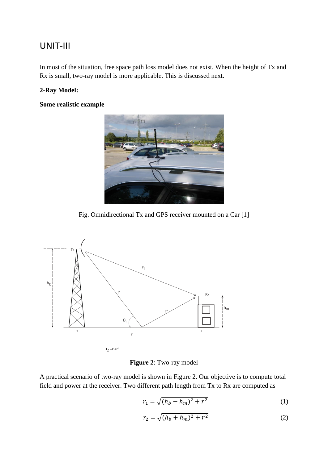## UNIT-III

In most of the situation, free space path loss model does not exist. When the height of Tx and Rx is small, two-ray model is more applicable. This is discussed next.

## **2-Ray Model:**

**Some realistic example**



Fig. Omnidirectional Tx and GPS receiver mounted on a Car [1]



**Figure 2**: Two-ray model

A practical scenario of two-ray model is shown in Figure 2. Our objective is to compute total field and power at the receiver. Two different path length from Tx to Rx are computed as

$$
r_1 = \sqrt{(h_b - h_m)^2 + r^2}
$$
 (1)

$$
r_2 = \sqrt{(h_b + h_m)^2 + r^2}
$$
 (2)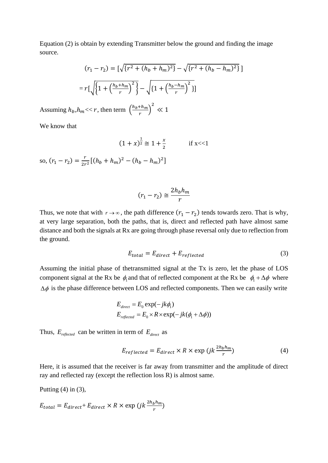Equation (2) is obtain by extending Transmitter below the ground and finding the image source.

$$
(r_1 - r_2) = \left[\sqrt{\left\{r^2 + (h_b + h_m)^2\right\}} - \sqrt{\left\{r^2 + (h_b - h_m)^2\right\}}\right]
$$

$$
= r\left[\sqrt{\left\{1 + \left(\frac{h_b + h_m}{r}\right)^2\right\}} - \sqrt{\left\{1 + \left(\frac{h_b - h_m}{r}\right)^2\right\}}\right]
$$

Assuming  $h_b, h_m \ll r$ , then term  $\left(\frac{h_b + h_m}{r}\right)$  $\left(\frac{1+h_m}{r}\right)^2 \ll 1$ 

We know that

$$
(1+x)^{\frac{1}{2}} \cong 1 + \frac{x}{2}
$$
 if x<<1  
so,  $(r_1 - r_2) = \frac{r}{2r^2} [(h_b + h_m)^2 - (h_b - h_m)^2]$ 

$$
(r_1 - r_2) \cong \frac{2h_b h_m}{r}
$$

Thus, we note that with  $r \to \infty$ , the path difference  $(r_1 - r_2)$  tends towards zero. That is why, at very large separation, both the paths, that is, direct and reflected path have almost same distance and both the signals at Rx are going through phase reversal only due to reflection from the ground.

$$
E_{total} = E_{direct} + E_{reflected}
$$
 (3)

Assuming the initial phase of thetransmitted signal at the Tx is zero, let the phase of LOS component signal at the Rx be  $\phi_1$  and that of reflected component at the Rx be  $\phi_1 + \Delta \phi$  where  $\Delta \phi$  is the phase difference between LOS and reflected components. Then we can easily write

$$
E_{direct} = E_0 \exp(-jk\phi_1)
$$
  
\n
$$
E_{reflected} = E_0 \times R \times \exp(-jk(\phi_1 + \Delta\phi))
$$

Thus,  $E_{\text{reflected}}$  can be written in term of  $E_{\text{direct}}$  as

$$
E_{reflected} = E_{direct} \times R \times \exp\left(jk\frac{2h_bh_m}{r}\right)
$$
 (4)

Here, it is assumed that the receiver is far away from transmitter and the amplitude of direct ray and reflected ray (except the reflection loss R) is almost same.

Putting  $(4)$  in  $(3)$ ,

$$
E_{total} = E_{direct} + E_{direct} \times R \times \exp\left(jk\frac{2h_bh_m}{r}\right)
$$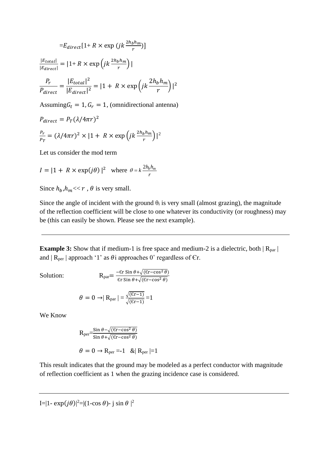$$
=E_{direct}[1+R \times \exp(jk\frac{2h_bh_m}{r})]
$$

$$
\frac{|E_{total}|}{|E_{direct}|} = |1+R \times \exp(jk\frac{2h_bh_m}{r})|
$$

$$
\frac{P_r}{P_{direct}} = \frac{|E_{total}|^2}{|E_{direct}|^2} = |1+R \times \exp(jk\frac{2h_bh_m}{r})|^2
$$

Assuming  $G_t = 1$ ,  $G_r = 1$ , (omnidirectional antenna)

$$
P_{direct} = P_T (\lambda / 4\pi r)^2
$$
  

$$
\frac{P_r}{P_T} = (\lambda / 4\pi r)^2 \times |1 + R \times \exp\left(jk \frac{2h_b h_m}{r}\right)|^2
$$

Let us consider the mod term

$$
I = |1 + R \times \exp(j\theta)|^2 \quad \text{where} \quad \theta = k \frac{2h_b h_m}{r}
$$

Since  $h_h, h_m \ll r$ ,  $\theta$  is very small.

Since the angle of incident with the ground  $\theta_i$  is very small (almost grazing), the magnitude of the reflection coefficient will be close to one whatever its conductivity (or roughness) may be (this can easily be shown. Please see the next example).

**Example 3:** Show that if medium-1 is free space and medium-2 is a dielectric, both  $|R_{par}|$ and  $|R_{per}|$  approach '1' as  $\theta$ i approaches 0° regardless of Er.

Solution:

$$
R_{par} = \frac{-\varepsilon r \sin \theta + \sqrt{(\varepsilon r - \cos^2 \theta)}}{\varepsilon r \sin \theta + \sqrt{(\varepsilon r - \cos^2 \theta)}}
$$

$$
\theta = 0 \rightarrow |R_{par}| = \frac{\sqrt{(6r-1)}}{\sqrt{(6r-1)}} = 1
$$

We Know

$$
R_{per} = \frac{\sin \theta - \sqrt{(\varepsilon r - \cos^2 \theta)}}{\sin \theta + \sqrt{(\varepsilon r - \cos^2 \theta)}}
$$

$$
\theta = 0 \to R_{per} = -1 \quad \& R_{per} = 1
$$

This result indicates that the ground may be modeled as a perfect conductor with magnitude of reflection coefficient as 1 when the grazing incidence case is considered.

I=|1-  $\exp(j\theta)$ |<sup>2</sup>=|(1-cos  $\theta$ )- j sin  $\theta$  |<sup>2</sup>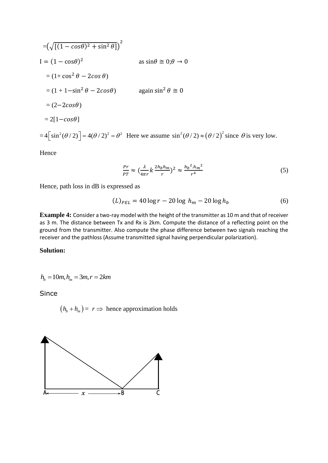$$
= (\sqrt{[(1 - \cos\theta)^2 + \sin^2\theta]})^2
$$
  
\n
$$
I = (1 - \cos\theta)^2
$$
 as  $\sin\theta \approx 0; \theta \to 0$   
\n
$$
= (1 + \cos^2\theta - 2\cos\theta)
$$
  
\n
$$
= (1 + 1 - \sin^2\theta - 2\cos\theta)
$$
 again  $\sin^2\theta \approx 0$   
\n
$$
= (2 - 2\cos\theta)
$$
  
\n
$$
= 2[1 - \cos\theta]
$$
  
\n
$$
= 4[\sin^2(\theta/2)] = 4(\theta/2)^2 = \theta^2
$$
 Here we assume  $\sin^2(\theta/2) \approx (\theta/2)^2$  since  $\theta$  is very low.

Hence

$$
\frac{Pr}{PT} \approx \left(\frac{\lambda}{4\pi r} k \frac{2h_b h_m}{r}\right)^2 \approx \frac{h_b^2 h_m^2}{r^4} \tag{5}
$$

Hence, path loss in dB is expressed as

$$
(L)_{PEL} = 40 \log r - 20 \log h_m - 20 \log h_b \tag{6}
$$

**Example 4:** Consider a two-ray model with the height of the transmitter as 10 m and that of receiver as 3 m. The distance between Tx and Rx is 2km. Compute the distance of a reflecting point on the ground from the transmitter. Also compute the phase difference between two signals reaching the receiver and the pathloss (Assume transmitted signal having perpendicular polarization).

## **Solution:**

$$
h_b = 10m, h_m = 3m, r = 2km
$$

Since

 $(h_b + h_m) = r \Rightarrow$  hence approximation holds

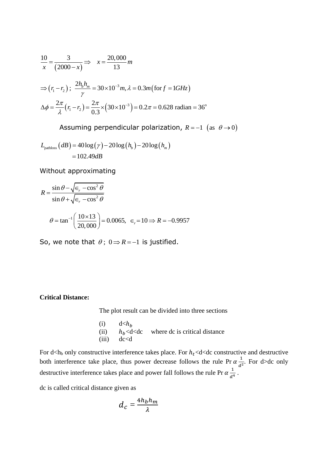$$
\frac{10}{x} = \frac{3}{(2000 - x)} \Rightarrow x = \frac{20,000}{13} m
$$
  
\n
$$
\Rightarrow (r_1 - r_2); \frac{2h_b h_m}{\gamma} = 30 \times 10^{-3} m, \lambda = 0.3 m \text{ (for } f = 1 \text{ GHz)}
$$
  
\n
$$
\Delta \phi = \frac{2\pi}{\lambda} (r_1 - r_2) = \frac{2\pi}{0.3} \times (30 \times 10^{-3}) = 0.2 \pi = 0.628 \text{ radian} = 36^{\circ}
$$

Assuming perpendicular polarization,  $R = -1$  (as  $\theta \rightarrow 0$ )

$$
L_{\text{pathloss}}(dB) = 40 \log(\gamma) - 20 \log(h_b) - 20 \log(h_m)
$$

$$
= 102.49 dB
$$

Without approximating

$$
R = \frac{\sin \theta - \sqrt{\epsilon_r - \cos^2 \theta}}{\sin \theta + \sqrt{\epsilon_r - \cos^2 \theta}}
$$
  

$$
\theta = \tan^{-1} \left( \frac{10 \times 13}{20,000} \right) = 0.0065, \ \epsilon_r = 10 \implies R = -0.9957
$$

So, we note that  $\theta$ ;  $0 \Rightarrow R = -1$  is justified.

## **Critical Distance:**

The plot result can be divided into three sections

(i)  $d \langle h_b$ <br>(ii)  $h_b \langle d \rangle$ (ii)  $h_b < d < dc$  where dc is critical distance<br>(iii)  $dc < d$  $dc < d$ 

For d<hto only constructive interference takes place. For  $h_t$ <d<dc constructive and destructive both interference take place, thus power decrease follows the rule Pr  $\alpha \frac{1}{d}$  $\frac{1}{d^2}$ . For d>dc only destructive interference takes place and power fall follows the rule Pr  $\alpha \frac{1}{\alpha}$  $\frac{1}{d^4}$ .

dc is called critical distance given as

$$
d_c = \frac{4h_bh_m}{\lambda}
$$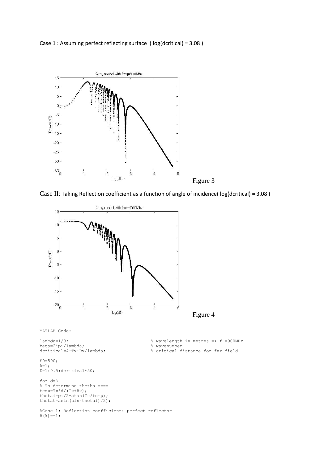



Case II: Taking Reflection coefficient as a function of angle of incidence( log(dcritical) = 3.08 )